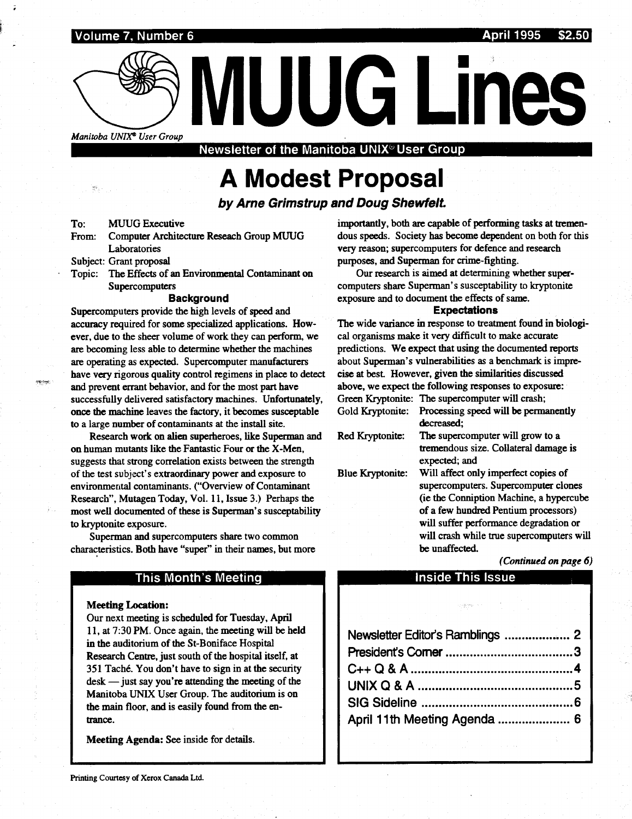# Volume 7, Number 6



## A Modest Proposal

by Arne Grimstrup and Doug Shewfelt.

To:<br>From: MUUG Executive Computer Architecture Reseach Group MUUG Laboratories Subject: Grant proposal Topic: The Effects of an Environmental Contaminant on

Supercomputers

#### **Background**

Supercomputers provide the high levels of speed and accuracy required for some specialized applications. However, due to the sheer volume of work they can perform, we are becoming less able to determine whether the machines are operating as expected. Supercomputer manufacturers have very rigorous quality control regimens in place to detect and prevent errant behavior, and for the most part have successfully delivered satisfactory machines. Unfortunately, once the machine leaves the factory, it becomes susceptable to a large number of contaminants at the install site.

Research work on alien superheroes, like Superman and on human mutants like the Fantastic Four or the X-Men, suggests that strong correlation exists between the strength of the test subject's extraordinary power and exposure to environmental contaminants . ("Overview of Contaminant Research", Mutagen Today, Vol. 11, Issue 3.) Perhaps the most well documented of these is Superman's susceptability to kryptonite exposure.

Superman and supercomputers share two common characteristics . Both have "super" in their names, but more

#### This Month's Meeting

#### **Meeting Location:**

Our next meeting is scheduled for Tuesday, April 11, at 7 :30 PM . Once again, the meeting will be held in the auditorium of the St-Boniface Hospital Research Centre, just south of the hospital itself, at 351 Tache. You don't have to sign in at the security  $dest$  - just say you're attending the meeting of the Manitoba UNIX User Group. The auditorium is on the main floor, and is easily found from the entrance.

Meeting Agenda: See inside for details.

importantly, both are capable of performing tasks at tremendous speeds. Society has become dependent on both for this very reason; supercomputers for defence and research purposes, and Superman for crime-fighting.

Our research is aimed at determining whether supercomputers share Superman's susceptability to kryptonite exposure and to document the effects of same.

#### Expectations

The wide variance in response to treatment found in biological organisms make it very difficult to make accurate predictions. We expect that using the documented reports about Superman's vulnerabilities as a benchmark is imprecise at best. However, given the similarities discussed above, we expect the following responses to exposure: Green Kryptonite: The supercomputer will crash;

Gold Kryptonite: Processing speed will be permanently decreased;

Red Kryptonite: The supercomputer will grow to a tremendous size. Collateral damage is expected; and

Blue Kryptonite: Will affect only imperfect copies of supercomputers. Supercomputer clones (ie the Conniption Machine, a hypercube of a few hundred Pentium processors) will suffer performance degradation or will crash while true supercomputers will be unaffected.

(Continued on page 6)

#### Inside This Issue

| will suffer performance degradation or |                    |
|----------------------------------------|--------------------|
| will crash while true supercomputers w |                    |
| be unaffected.                         |                    |
|                                        | (Continued on page |
| <b>Inside This Issue</b>               |                    |
|                                        |                    |
|                                        |                    |
|                                        |                    |
| Newsletter Editor's Ramblings  2       |                    |
|                                        |                    |
|                                        |                    |
|                                        |                    |
|                                        |                    |
|                                        |                    |
| April 11th Meeting Agenda  6           |                    |
|                                        |                    |
|                                        |                    |
|                                        |                    |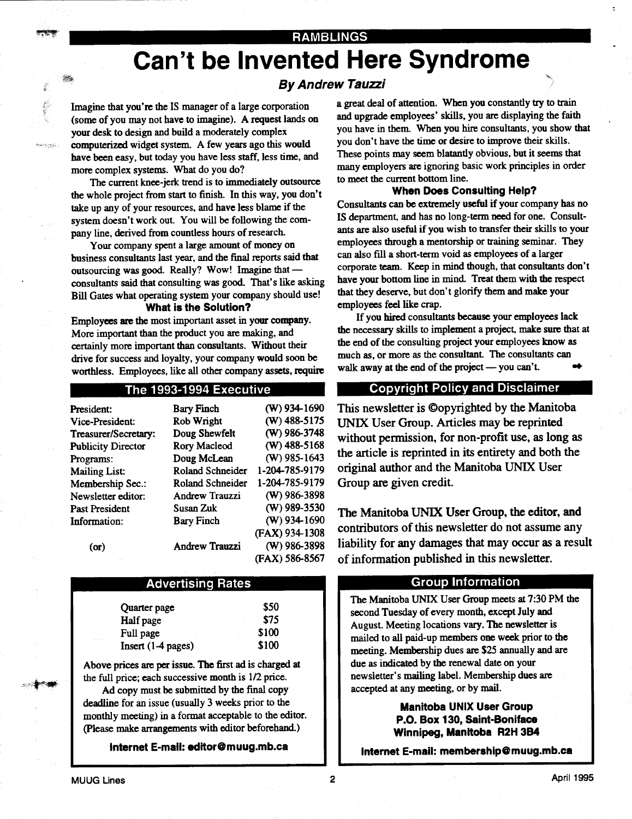#### RAMBLINGS

## Can't be Invented Here Syndrome

#### By Andrew Tauzzi

Imagine that you're the IS manager of a large corporation (some of you may not have to imagine). A request lands on your desk to design and build a moderately complex computerized widget system. A few years ago this would have been easy, but today you have less staff, less time, and more complex systems. What do you do?

 

殿

.<br>Manggunia

The current knee-jerk trend is to immediately outsource the whole project from start to finish. In this way, you don't take up any of your resources, and have less blame if the system doesn't work out. You will be following the company line, derived from countless hours of research.

Your company spent a large amount of money on business consultants last year, and the final reports said that outsourcing was good. Really? Wow! Imagine that  $$ consultants said that consulting was good. That's like asking Bill Gates what operating system your company should use!

#### What is the Solution?

Employees are the most important asset in your company . More important than the product you are making, and certainly more important than consultants. Without their drive for success and loyalty, your company would soon be worthless. Employees, like all other company assets, require

#### The 1993-1994 Executive

| <b>President:</b>         | <b>Bary Finch</b>       | $(W)$ 934-1690 |
|---------------------------|-------------------------|----------------|
| Vice-President:           | Rob Wright              | (W) 488-5175   |
| Treasurer/Secretary:      | Doug Shewfelt           | (W) 986-3748   |
| <b>Publicity Director</b> | Rory Macleod            | $(W)$ 488-5168 |
| Programs:                 | Doug McLean             | (W) 985-1643   |
| <b>Mailing List:</b>      | <b>Roland Schneider</b> | 1-204-785-9179 |
| Membership Sec.:          | <b>Roland Schneider</b> | 1-204-785-9179 |
| Newsletter editor:        | <b>Andrew Trauzzi</b>   | (W) 986-3898   |
| Past President            | Susan Zuk               | (W) 989-3530   |
| Information:              | <b>Bary Finch</b>       | $(W)$ 934-1690 |
|                           |                         | (FAX) 934-1308 |
| (or)                      | <b>Andrew Trauzzi</b>   | (W) 986-3898   |
|                           |                         | (FAX) 586-8567 |
|                           |                         |                |

#### Advertising Rates

| <b>Quarter page</b>  | \$50  |
|----------------------|-------|
| Half page            | \$75  |
| Full page            | \$100 |
| $Insert (1-4 pages)$ | \$100 |

Above prices are per issue. The first ad is charged at the full price; each successive month is 1/2 price.

Ad copy must be submitted by the final copy deadline for an issue (usually 3 weeks prior to the monthly meeting) in a format acceptable to the editor. (Please make arrangements with editor beforehand.)

Internet E-mail: editor@muug.mb.ca

a great deal of attention. When you constantly try to train and upgrade employees' skills, you are displaying the faith you have in them. When you hire consultants, you show that you don't have the time or desire to improve their skills. These points may seem blatantly obvious, but it seems that many employers are ignoring basic work principles in order to meet the current bottom line.

#### When Does Consulting Help?

Consultants can be extremely useful if your company has no IS department, and has no long-term need for one . Consultants are also useful if you wish to transfer their skills to your employees through a mentorship or training seminar. They can also fill a short-term void as employees of a larger corporate team. Keep in mind though, that consultants don't have your bottom line in mind. Treat them with the respect that they deserve, but don't glorify them and make your employees feel like crap.

If you hired consultants because your employees lack the necessary skills to implement a project, make sure that at the end of the consulting project your employees know as much as, or more as the consultant. The consultants can walk away at the end of the project - you can't. M

#### Copyright Policy and Disclaimer

This newsletter is ©opyrighted by the Manitoba UNIX User Group. Articles may be reprinted without permission, for non-profit use, as long as the article is reprinted in its entirety and both the original author and the Manitoba UNIX User Group are given credit.

The Manitoba UNIX User Group, the editor, and contributors of this newsletter do not assume any liability for any damages that may occur as a result of information published in this newsletter .

#### Group Information

The Manitoba UNIX User Group meets at 7 :30 PM the second Tuesday of every month, except July and August. Meeting locations vary. The newsletter is mailed to all paid-up members one week prior to the meeting. Membership dues are \$25 annually and are due as indicated by the renewal date on your newsletter's mailing label . Membership dues are accepted at any meeting, or by mail .

#### Manitoba UNIX User Group P.O. Box 130, Saint-Boniface Winnipeg, Manitoba R2H 3B4

Internet E-mail: membership@muug.mb.ca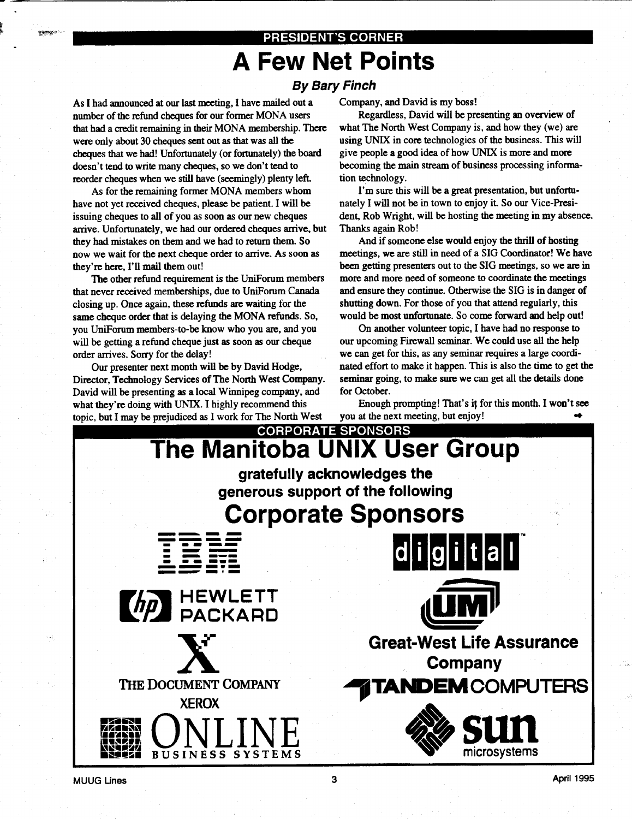## PRESIDENT'S CORNER A Few Net Points

By Bary Finch

As I had announced at our last meeting, I have mailed out a number of the refund cheques for our former MONA users that had a credit remaining in their MONA membership. There were only about 30 cheques sent out as that was all the cheques that we had! Unfortunately (or fortunately) the board doesn't tend to write many cheques, so we don't tend to reorder cheques when we still have (seemingly) plenty left.

 

As for the remaining former MONA members whom have not yet received cheques, please be patient. I will be issuing cheques to all of you as soon as our new cheques arrive. Unfortunately, we had our ordered cheques arrive, but they had mistakes on them and we had to return them . So now we wait for the next cheque order to arrive. As soon as they're here, I'll mail them out!

The other refund requirement is the UniForum members that never received memberships, due to UniForum Canada closing up . Once again, these refunds are waiting for the same cheque order that is delaying the MONA refunds. So, you UniForum members-to-be know who you are, and you will be getting a refund cheque just as soon as our cheque order arrives. Sorry for the delay!

Our presenter next month will be by David Hodge, Director, Technology Services of The North West Company. David will be presenting as a local Winnipeg company, and what they're doing with UNIX. I highly recommend this topic, but I may be prejudiced as I work for The North West

Company, and David is my boss!

Regardless, David will be presenting an overview of what The North West Company is, and how they (we) are using UNIX in core technologies of the business. This will give people a good idea of how UNIX is more and more becoming the main stream of business processing information technology.

I'm sure this will be a great presentation, but unfortunately I will not be in town to enjoy it . So our Vice-President, Rob Wright, will be hosting the meeting in my absence. Thanks again Rob!

And if someone else would enjoy the thrill of hosting meetings, we are still in need of a SIG Coordinator! We have been getting presenters out to the SIG meetings, so we are in more and more need of someone to coordinate the meetings and ensure they continue. Otherwise the SIG is in danger of shutting down. For those of you that attend regularly, this would be most unfortunate. So come forward and help out!

On another volunteer topic, I have had no response to our upcoming Firewall seminar. We could use all the help we can get for this, as any seminar requires a large coordinated effort to make it happen. This is also the time to get the seminar going, to make sure we can get all the details done for October.

Enough prompting! That's it for this month . I won't see you at the next meeting, but enjoy! w

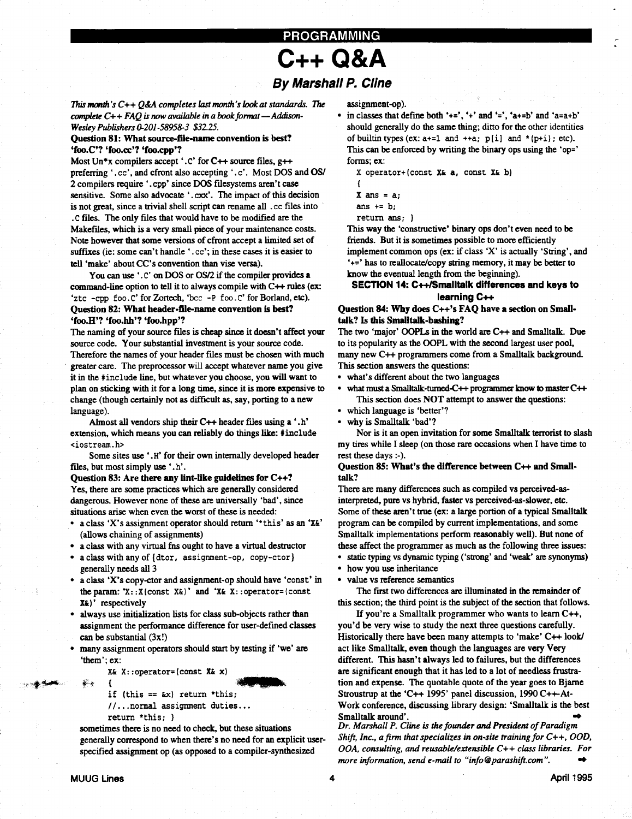## PROGRAMMING C++ O &A By Marshall P. Cline

This month's  $C++ O\&A$  completes last month's look at standards. The complete  $C++ FAQ$  is now available in a book format - Addison-

#### Question 81: What source-file-name convention is best? 'foo.C'? 'foo.cc'? 'foo.cpp'?

in anns<br>1990 - Carl

 

 

Most Un\*x compilers accept '.C' for C++ source files,  $g++$ preferring '.cc', and cfront also accepting '.c'. Most DOS and OS/ 2 compilers require ' . cpp' since DOS filesystems aren't case sensitive. Some also advocate '.cxx'. The impact of this decision is not great, since a trivial shell script can rename all . cc files into .C files. The only files that would have to be modified are the Makefiles, which is a very small piece of your maintenance costs . Note however that some versions of cfront accept a limited set of suffixes (ie: some can't handle '.cc'; in these cases it is easier to tell 'make' about CC's convention than vise versa) . **This meth**  $C \rightarrow Q\phi$ **, complex has easily**  $\mathbf{G} + \mathbf{D} \mathbf{G} \mathbf{A} \mathbf{A}$ **<br>
This meth**  $C \rightarrow Q\phi$ **, complex has easily below that the signal P. Cliffre China is the signal P. Cliffer China is the signal P. Cliffer China is the** 

You can use '.C' on DOS or OS/2 if the compiler provides a command-line option to tell it to always compile with  $C \rightarrow \text{ rules (ex:}$ 'ztc -cpp foo. C' for Zortech, 'bcc -P foo. C' for Borland, etc). Question 82: What header-file-name convention is best? 'foo.H'? 'foo.hh'? 'foo.hpp'?

The naming of your source files is cheap since it doesn't affect your source code. Your substantial investment is your source code. Therefore the names of your header files must be chosen with much greater care. The preprocessor will accept whatever name you give it in the #include line, but whatever you choose, you will want to plan on sticking with it for a long time, since it is more expensive to change (though certainly not as difficult as, say, porting to a new language).

Almost all vendors ship their  $C++$  header files using a '.h' extension, which means you can reliably do things like: #include <iostream .h>

Some sites use '.H' for their own internally developed header files, but most simply use '.h'.

Question 83: Are there any lint-like guidelines for  $C++?$ Yes, there are some practices which are generally considered dangerous. However none of these are universally 'bad', since situations arise when even the worst of these is needed:

- a class 'X's assignment operator should return '\*this' as an 'X&' (allows chaining of assignments)
- a class with any virtual fns ought to have a virtual destructor
- a class with any of {dtor, assignment-op, copy-ctor} generally needs all 3
- a class 'X's copy-ctor and assignment-op should have 'const' in the param: 'X::X(const X&)' and 'X& X::operator=(const X&)' respectively
- always use initialization lists for class sub-objects rather than assignment the performance difference for user-defined classes can be substantial  $(3x!)$
- many assignment operators should start by testing if 'we' are 'them'; ex:
	- X& X : :operator=(const X& x)

if (this  $==$  &x) return \*this;

// . . .normal assignment duties . . .

return \*this; }

sometimes there is no need to check, but these situations generally correspond to when there's no need for an explicit userspecified assignment op (as opposed to a compiler-synthesized

assignment-op).

• in classes that define both '+=', '+' and '=', 'a+=b' and 'a=a+b' should generally do the same thing; ditto for the other identities of builtin types (ex:  $a+=1$  and  $+a$ ;  $p[i]$  and  $*(p+i)$ ; etc). This can be enforced by writing the binary ops using the 'op=' forms; ex:

• operator+(const X& a, const X& b)

- 
- $X$  ans =  $a$ ;

ans  $+= b$ :

return ans; }

This way the 'constructive' binary ops don't even need to be friends. But it is sometimes possible to more efficiently implement common ops (ex: if class 'X' is actually 'String', and '+=' has to reallocate/copy string memory, it may be better to know the eventual length from the beginning).

#### SECTION 14: C++/Smalltalk differences and keys to learning C++

Ouestion 84: Why does C++'s FAQ have a section on Smalltalk? Is this Smalltalk-bashing?

The two 'major' OOPLs in the world are C++ and Smalltalk. Due to its popularity as the OOPL with the second largest user pool, many new C++ programmers come from a Smalltalk background. This section answers the questions:

- what's different about the two languages
- what must a Smalltalk-turned-C++ programmer know to master C++ This section does NOT attempt to answer the questions:
- which language is 'better'?
- why is Smalltalk 'bad'?

Nor is it an open invitation for some Smalltalk terrorist to slash my tires while I sleep (on those rare occasions when I have time to rest these days :-).

#### Question 85: What's the difference between C++ and Smalltalk?

There are many differences such as compiled vs perceived-asinterpreted, pure vs hybrid, faster vs perceived-as-slower, etc. Some of these aren't true (ex: a large portion of a typical Smalltalk program can be compiled by current implementations, and some Smalltalk implementations perform reasonably well). But none of these affect the programmer as much as the following three issues : • static typing vs dynamic typing ('strong' and 'weak' are synonyms)

- how you use inheritance
- value vs reference semantics

The first two differences are illuminated in the remainder of this section; the third point is the subject of the section that follows.

If you're a Smalltalk programmer who wants to learn C++, you'd be very wise to study the next three questions carefully. Historically there have been many attempts to 'make' C++ look/ act like Smalltalk, even though the languages are very Very different. This hasn't always led to failures, but the differences are significant enough that it has led to a lot of needless frustration and expense. The quotable quote of the year goes to Bjarne Stroustrup at the 'C++ 1995' panel discussion, 1990 C++-At-Work conference, discussing library design: 'Smalltalk is the best Smalltalk around' .

Dr. Marshall P. Cline is the founder and President of Paradigm Shift, Inc., a firm that specializes in on-site training for  $C++$ , OOD,  $OOA$ , consulting, and reusable/extensible  $C++$  class libraries. For more information, send e-mail to "info @ parashift.com". M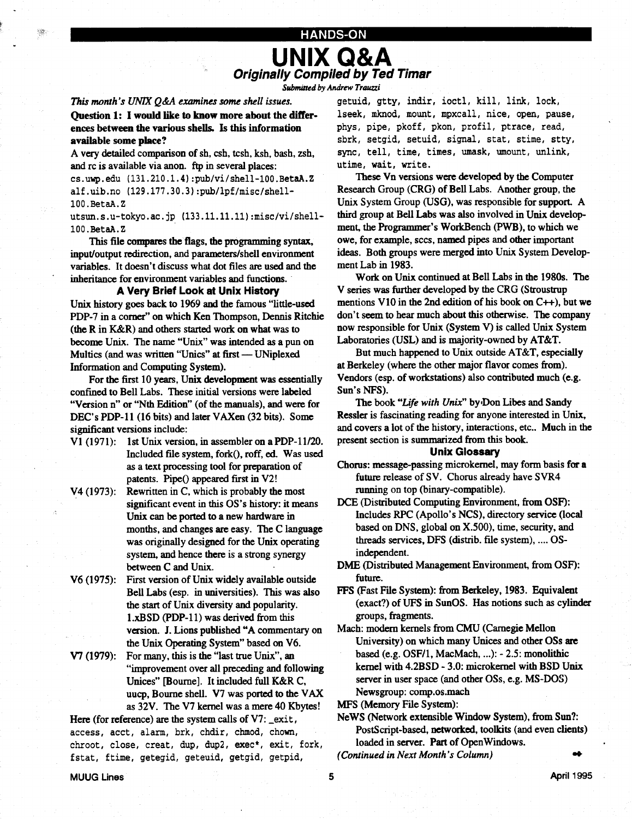### HANDS-ON UNIX Q&A Originally Compiled by Ted Timar

Submitted by Andrew Trauzzi

This month's UNIX Q&A examines some shell issues.

 $\mathcal{L}^{\text{op}}$ 

#### Question 1: I would like to know more about the differences between the various shells. Is this information available some place?

A very detailed comparison of sh, csh, tcsh, ksh, bash, zsh, and rc is available via anon. ftp in several places: c s .uwp .edu (131 .210 .1 .4) :pub/vi/shell-100 .BetaA .Z alf.uib.no (129.177.30.3):pub/lpf/misc/shell-100 .BetaA .Z

utsun.s.u-tokyo.ac.jp (133.11.11.11):misc/vi/shell-100 .BetaA .Z

This file compares the flags, the programming syntax, input/output redirection, and parameters/shell environment variables. It doesn't discuss what dot files are used and the inheritance for environment variables and functions.

#### A Very Brief Look at Unix History

Unix history goes back to 1969 and the famous "little-used PDP-7 in a corner" on which Ken Thompson, Dennis Ritchie (the R in K&R) and others started work on what was to become Unix. The name "Unix" was intended as a pun on Multics (and was written "Unics" at first -- UNiplexed Information and Computing System).

For the first 10 years, Unix development was essentially confined to Bell Labs. These initial versions were labeled "Version n" or "Nth Edition" (of the manuals), and were for DEC's PDP-11 (16 bits) and later VAXen (32 bits). Some significant versions include:

- V1 (1971): 1st Unix version, in assembler on a PDP-11/20. Included file system, fork(), roff, ed. Was used as a text processing tool for preparation of patents. Pipe() appeared first in V2!
- V4  $(1973)$ : Rewritten in C, which is probably the most significant event in this OS's history: it means Unix can be ported to a new hardware in months, and changes are easy. The C language was originally designed for the Unix operating system, and hence there is a strong synergy between C and Unix.
- V6 (1975): First version of Unix widely available outside Bell Labs (esp. in universities). This was also the start of Unix diversity and popularity. <sup>1</sup> .xBSD (PDP-11) was derived from this version. J. Lions published "A commentary on the Unix Operating System" based on V6.
- V7 (1979): For many, this is the "last true Unix", an "improvement over all preceding and following Unices" [Bourne]. It included full K&R C, uucp, Bourne shell. V7 was ported to the VAX as 32V. The V7 kernel was a mere 40 Kbytes!

Here (for reference) are the system calls of V7: \_exit, access, acct, alarm, brk, chdir, chmod, chown, chroot, close, creat, dup, dup2, exec\*, exit, fork, fstat, ftime, getegid, geteuid, getgid, getpid,

getuid, gtty, indir, ioctl, kill, link, lock, lseek, mknod, mount, mpxcall, nice, open, pause, phys, pipe, pkoff, pkon, profil, ptrace, read, sbrk, setgid, setuid, signal, stat, stime, stty, sync, tell, time, times, umask, umount, unlink, utime, wait, write .

These Vn versions were developed by the Computer Research Group (CRG) of Bell Labs. Another group, the Unix System Group (USG), was responsible for support . A third group at Bell Labs was also involved in Unix development, the Programmer's WorkBench (PWB), to which we owe, for example, sccs, named pipes and other important ideas. Both groups were merged into Unix System Development Lab in 1983.

Work on Unix continued at Bell Labs in the 1980s. The V series was further developed by the CRG (Stroustrup mentions V10 in the 2nd edition of his book on  $C++$ ), but we don't seem to hear much about this otherwise. The company now responsible for Unix (System V) is called Unix System Laboratories (USL) and is majority-owned by AT&T.

But much happened to Unix outside AT&T, especially at Berkeley (where the other major flavor comes from) . Vendors (esp. of workstations) also contributed much (e.g. Sun's NFS).

The book "Life with Unix" by Don Libes and Sandy Ressler is fascinating reading for anyone interested in Unix, and covers a lot of the history, interactions, etc.. Much in the present section is summarized from this book.

#### Unix Glossary

- Chorus: message-passing microkernel, may form basis for a future release of SV. Chorus already have SVR4 running on top (binary-compatible).
- DCE (Distributed Computing Environment, from OSF) : Includes RPC (Apollo's NCS), directory service (local based on DNS, global on X .500), time, security, and threads services, DFS (distrib. file system), .... OSindependent.
- DME (Distributed Management Environment, from OSF): future.
- FFS (Fast File System): from Berkeley, 1983. Equivalent (exact?) of UFS in SunOS. Has notions such as cylinder groups, fragments.

Mach: modern kernels from CMU (Carnegie Mellon University) on which many Unices and other OSs are based (e.g. OSF/1, MacMach, ...): - 2.5: monolithic kernel with 4.2BSD - 3.0: microkernel with BSD Unix server in user space (and other OSs, e.g. MS-DOS) Newsgroup: comp.os.mach

MFS (Memory File System) :

NeWS (Network extensible Window System), from Sun? : PostScript-based, networked, toolkits (and even clients) loaded in server. Part of OpenWindows.

(Continued in Next Month's Column)

5